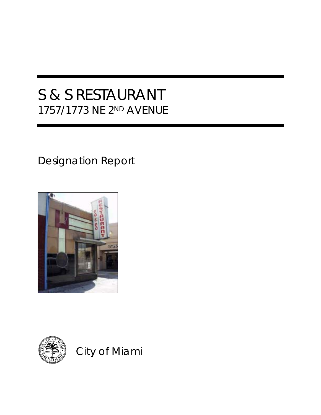# S & S RESTAURANT 1757/1773 NE 2ND AVENUE

## Designation Report





City of Miami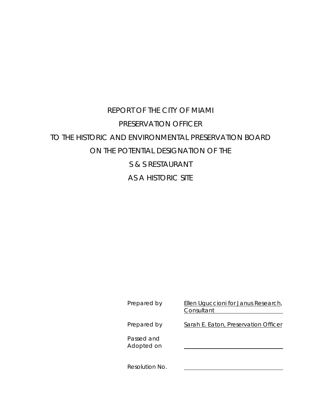### REPORT OF THE CITY OF MIAMI PRESERVATION OFFICER TO THE HISTORIC AND ENVIRONMENTAL PRESERVATION BOARD ON THE POTENTIAL DESIGNATION OF THE S & S RESTAURANT AS A HISTORIC SITE

| Prepared by              | Ellen Uguccioni for Janus Research,<br>Consultant |
|--------------------------|---------------------------------------------------|
| Prepared by              | Sarah E. Eaton, Preservation Officer              |
| Passed and<br>Adopted on |                                                   |
| Resolution No.           |                                                   |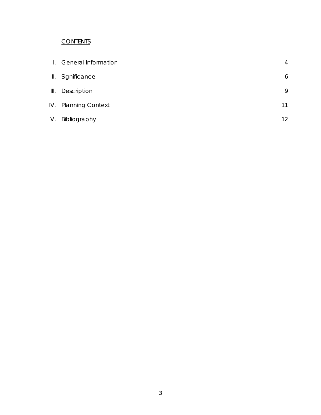### **CONTENTS**

| $\perp$ | <b>General Information</b> | 4               |
|---------|----------------------------|-----------------|
| Ш.      | Significance               | 6               |
| III.    | Description                | 9               |
|         | IV. Planning Context       | 11              |
| V.      | Bibliography               | 12 <sup>°</sup> |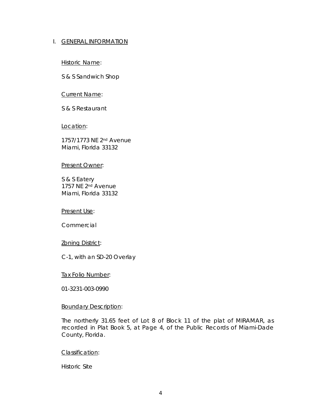#### I. GENERAL INFORMATION

Historic Name:

S & S Sandwich Shop

Current Name:

S & S Restaurant

Location:

1757/1773 NE 2nd Avenue Miami, Florida 33132

#### Present Owner:

S & S Eatery 1757 NE 2nd Avenue Miami, Florida 33132

Present Use:

Commercial

#### **Zoning District:**

C-1, with an SD-20 Overlay

Tax Folio Number:

01-3231-003-0990

#### Boundary Description:

The northerly 31.65 feet of Lot 8 of Block 11 of the plat of MIRAMAR, as recorded in Plat Book 5, at Page 4, of the Public Records of Miami-Dade County, Florida.

#### Classification:

Historic Site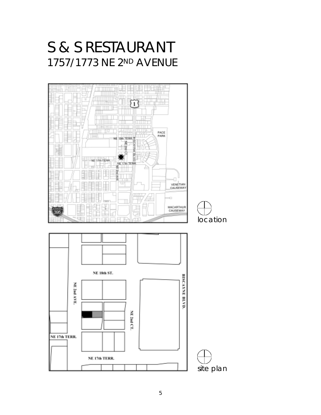# S & S RESTAURANT 1757/1773 NE 2ND AVENUE

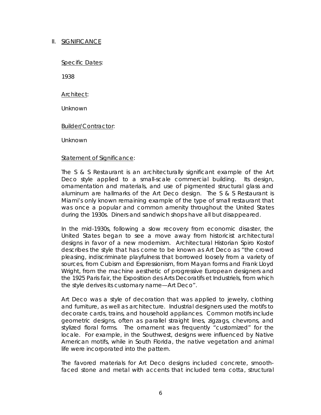#### II. SIGNIFICANCE

Specific Dates:

1938

Architect:

Unknown

Builder/Contractor:

Unknown

#### Statement of Significance:

The S & S Restaurant is an architecturally significant example of the Art Deco style applied to a small-scale commercial building. Its design, ornamentation and materials, and use of pigmented structural glass and aluminum are hallmarks of the Art Deco design. The S & S Restaurant is Miami's only known remaining example of the type of small restaurant that was once a popular and common amenity throughout the United States during the 1930s. Diners and sandwich shops have all but disappeared.

In the mid-1930s, following a slow recovery from economic disaster, the United States began to see a move away from historicist architectural designs in favor of a new modernism. Architectural Historian Spiro Kostof describes the style that has come to be known as Art Deco as "the crowd pleasing, indiscriminate playfulness that borrowed loosely from a variety of sources, from Cubism and Expressionism, from Mayan forms and Frank Lloyd Wright, from the machine aesthetic of progressive European designers and the 1925 Paris fair, the Exposition des Arts Decoratifs et Industriels, from which the style derives its customary name—Art Deco".

Art Deco was a style of decoration that was applied to jewelry, clothing and furniture, as well as architecture. Industrial designers used the motifs to decorate cards, trains, and household appliances. Common motifs include geometric designs, often as parallel straight lines, zigzags, chevrons, and stylized floral forms. The ornament was frequently "customized" for the locale. For example, in the Southwest, designs were influenced by Native American motifs, while in South Florida, the native vegetation and animal life were incorporated into the pattern.

The favored materials for Art Deco designs included concrete, smoothfaced stone and metal with accents that included terra cotta, structural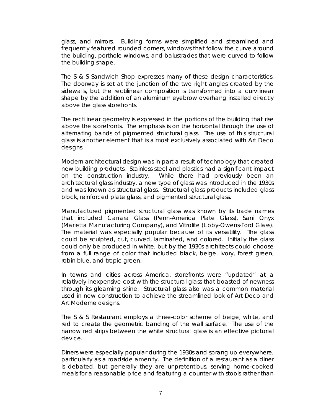glass, and mirrors. Building forms were simplified and streamlined and frequently featured rounded corners, windows that follow the curve around the building, porthole windows, and balustrades that were curved to follow the building shape.

The S & S Sandwich Shop expresses many of these design characteristics. The doorway is set at the junction of the two right angles created by the sidewalls, but the rectilinear composition is transformed into a curvilinear shape by the addition of an aluminum eyebrow overhang installed directly above the glass storefronts.

The rectilinear geometry is expressed in the portions of the building that rise above the storefronts. The emphasis is on the horizontal through the use of alternating bands of pigmented structural glass. The use of this structural glass is another element that is almost exclusively associated with Art Deco designs.

Modern architectural design was in part a result of technology that created new building products. Stainless steel and plastics had a significant impact on the construction industry. While there had previously been an architectural glass industry, a new type of glass was introduced in the 1930s and was known as structural glass. Structural glass products included glass block, reinforced plate glass, and pigmented structural glass.

Manufactured pigmented structural glass was known by its trade names that included Carrara Glass (Penn-America Plate Glass), Sani Onyx (Marietta Manufacturing Company), and Vitrolite (Libby-Owens-Ford Glass). The material was especially popular because of its versatility. The glass could be sculpted, cut, curved, laminated, and colored. Initially the glass could only be produced in white, but by the 1930s architects could choose from a full range of color that included black, beige, ivory, forest green, robin blue, and tropic green.

In towns and cities across America, storefronts were "updated" at a relatively inexpensive cost with the structural glass that boasted of newness through its gleaming shine. Structural glass also was a common material used in new construction to achieve the streamlined look of Art Deco and Art Moderne designs.

The S & S Restaurant employs a three-color scheme of beige, white, and red to create the geometric banding of the wall surface. The use of the narrow red strips between the white structural glass is an effective pictorial device.

Diners were especially popular during the 1930s and sprang up everywhere, particularly as a roadside amenity. The definition of a restaurant as a diner is debated, but generally they are unpretentious, serving home-cooked meals for a reasonable price and featuring a counter with stools rather than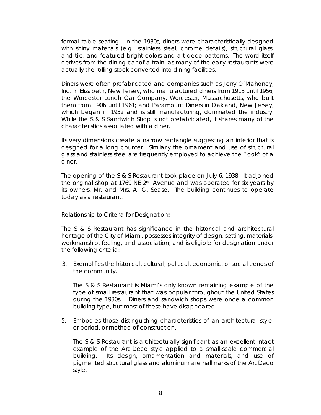formal table seating. In the 1930s, diners were characteristically designed with shiny materials (e.g., stainless steel, chrome details), structural glass, and tile, and featured bright colors and art deco patterns. The word itself derives from the dining car of a train, as many of the early restaurants were actually the rolling stock converted into dining facilities.

Diners were often prefabricated and companies such as Jerry O'Mahoney, Inc. in Elizabeth, New Jersey, who manufactured diners from 1913 until 1956; the Worcester Lunch Car Company, Worcester, Massachusetts, who built them from 1906 until 1961; and Paramount Diners in Oakland, New Jersey, which began in 1932 and is still manufacturing, dominated the industry. While the S & S Sandwich Shop is not prefabricated, it shares many of the characteristics associated with a diner.

Its very dimensions create a narrow rectangle suggesting an interior that is designed for a long counter. Similarly the ornament and use of structural glass and stainless steel are frequently employed to achieve the "look" of a diner.

The opening of the S & S Restaurant took place on July 6, 1938. It adjoined the original shop at 1769 NE 2nd Avenue and was operated for six years by its owners, Mr. and Mrs. A. G. Sease. The building continues to operate today as a restaurant.

#### Relationship to Criteria for Designation**:**

The S & S Restaurant has significance in the historical and architectural heritage of the City of Miami; possesses integrity of design, setting, materials, workmanship, feeling, and association; and is eligible for designation under the following criteria:

3. Exemplifies the historical, cultural, political, economic, or social trends of the community.

The S & S Restaurant is Miami's only known remaining example of the type of small restaurant that was popular throughout the United States during the 1930s. Diners and sandwich shops were once a common building type, but most of these have disappeared.

5. Embodies those distinguishing characteristics of an architectural style, or period, or method of construction.

 The S & S Restaurant is architecturally significant as an excellent intact example of the Art Deco style applied to a small-scale commercial building. Its design, ornamentation and materials, and use of pigmented structural glass and aluminum are hallmarks of the Art Deco style.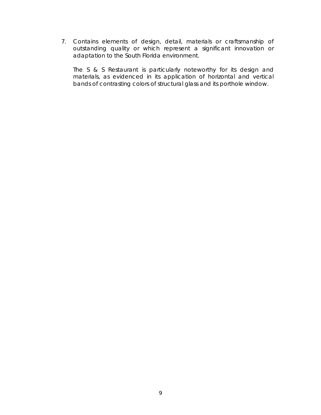7. Contains elements of design, detail, materials or craftsmanship of outstanding quality or which represent a significant innovation or adaptation to the South Florida environment.

 The S & S Restaurant is particularly noteworthy for its design and materials, as evidenced in its application of horizontal and vertical bands of contrasting colors of structural glass and its porthole window.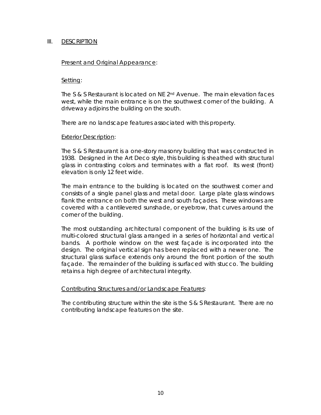#### III. DESCRIPTION

#### Present and Original Appearance:

#### Setting:

The S & S Restaurant is located on NE  $2<sup>nd</sup>$  Avenue. The main elevation faces west, while the main entrance is on the southwest corner of the building. A driveway adjoins the building on the south.

There are no landscape features associated with this property.

#### Exterior Description:

The S & S Restaurant is a one-story masonry building that was constructed in 1938. Designed in the Art Deco style, this building is sheathed with structural glass in contrasting colors and terminates with a flat roof. Its west (front) elevation is only 12 feet wide.

The main entrance to the building is located on the southwest corner and consists of a single panel glass and metal door. Large plate glass windows flank the entrance on both the west and south façades. These windows are covered with a cantilevered sunshade, or eyebrow, that curves around the corner of the building.

The most outstanding architectural component of the building is its use of multi-colored structural glass arranged in a series of horizontal and vertical bands. A porthole window on the west façade is incorporated into the design. The original vertical sign has been replaced with a newer one. The structural glass surface extends only around the front portion of the south façade. The remainder of the building is surfaced with stucco. The building retains a high degree of architectural integrity.

#### Contributing Structures and/or Landscape Features:

The contributing structure within the site is the S & S Restaurant. There are no contributing landscape features on the site.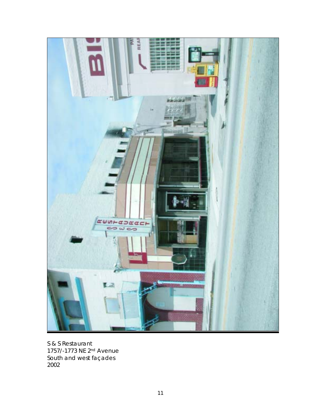

S & S Restaurant 1757/-1773 NE 2nd Avenue South and west façades 2002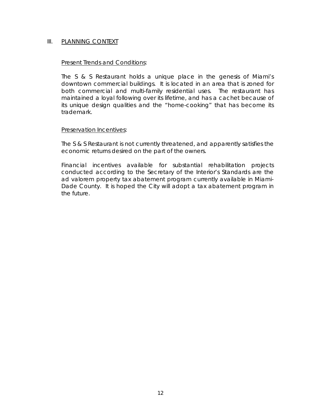#### III. PLANNING CONTEXT

#### Present Trends and Conditions:

The S & S Restaurant holds a unique place in the genesis of Miami's downtown commercial buildings. It is located in an area that is zoned for both commercial and multi-family residential uses. The restaurant has maintained a loyal following over its lifetime, and has a cachet because of its unique design qualities and the "home-cooking" that has become its trademark.

#### Preservation Incentives:

The S & S Restaurant is not currently threatened, and apparently satisfies the economic returns desired on the part of the owners.

Financial incentives available for substantial rehabilitation projects conducted according to the Secretary of the Interior's Standards are the ad valorem property tax abatement program currently available in Miami-Dade County. It is hoped the City will adopt a tax abatement program in the future.